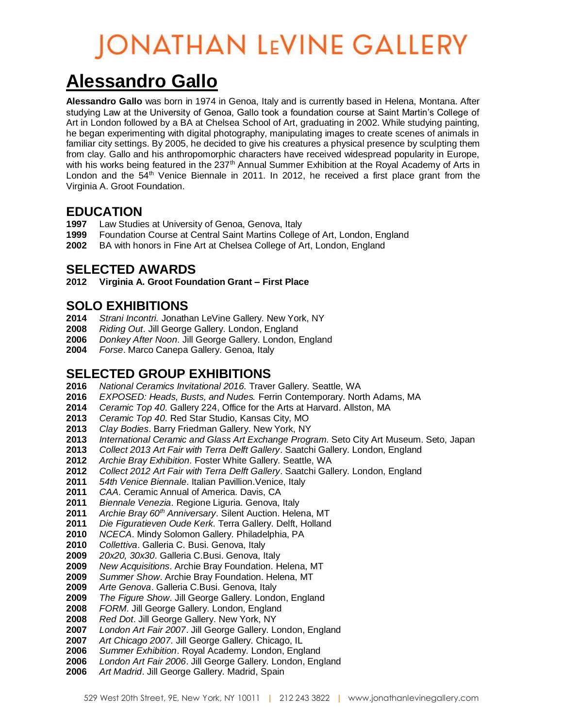# **JONATHAN LEVINE GALLERY**

### **Alessandro Gallo**

**Alessandro Gallo** was born in 1974 in Genoa, Italy and is currently based in Helena, Montana. After studying Law at the University of Genoa, Gallo took a foundation course at Saint Martin's College of Art in London followed by a BA at Chelsea School of Art, graduating in 2002. While studying painting, he began experimenting with digital photography, manipulating images to create scenes of animals in familiar city settings. By 2005, he decided to give his creatures a physical presence by sculpting them from clay. Gallo and his anthropomorphic characters have received widespread popularity in Europe, with his works being featured in the  $237<sup>th</sup>$  Annual Summer Exhibition at the Royal Academy of Arts in London and the  $54<sup>th</sup>$  Venice Biennale in 2011. In 2012, he received a first place grant from the Virginia A. Groot Foundation.

#### **EDUCATION**

- Law Studies at University of Genoa, Genova, Italy
- Foundation Course at Central Saint Martins College of Art, London, England
- BA with honors in Fine Art at Chelsea College of Art, London, England

#### **SELECTED AWARDS**

**Virginia A. Groot Foundation Grant – First Place**

#### **SOLO EXHIBITIONS**

- *Strani Incontri.* Jonathan LeVine Gallery. New York, NY
- *Riding Out*. Jill George Gallery. London, England
- *Donkey After Noon*. Jill George Gallery. London, England
- *Forse*. Marco Canepa Gallery. Genoa, Italy

#### **SELECTED GROUP EXHIBITIONS**

- *National Ceramics Invitational 2016.* Traver Gallery. Seattle, WA
- *EXPOSED: Heads, Busts, and Nudes.* Ferrin Contemporary. North Adams, MA
- *Ceramic Top 40*. Gallery 224, Office for the Arts at Harvard. Allston, MA
- *Ceramic Top 40*. Red Star Studio, Kansas City, MO
- *Clay Bodies*. Barry Friedman Gallery. New York, NY
- *International Ceramic and Glass Art Exchange Program*. Seto City Art Museum. Seto, Japan
- *Collect 2013 Art Fair with Terra Delft Gallery*. Saatchi Gallery. London, England
- *Archie Bray Exhibition*. Foster White Gallery. Seattle, WA
- *Collect 2012 Art Fair with Terra Delft Gallery*. Saatchi Gallery. London, England
- *54th Venice Biennale*. Italian Pavillion.Venice, Italy
- *CAA*. Ceramic Annual of America. Davis, CA
- *Biennale Venezia*. Regione Liguria. Genova, Italy
- *Archie Bray 60th Anniversary*. Silent Auction. Helena, MT
- *Die Figuratieven Oude Kerk*. Terra Gallery. Delft, Holland
- *NCECA*. Mindy Solomon Gallery. Philadelphia, PA
- *Collettiva*. Galleria C. Busi. Genova, Italy
- *20x20, 30x30*. Galleria C.Busi. Genova, Italy
- *New Acquisitions*. Archie Bray Foundation. Helena, MT
- *Summer Show*. Archie Bray Foundation. Helena, MT
- *Arte Genova*. Galleria C.Busi. Genova, Italy
- *The Figure Show*. Jill George Gallery. London, England
- *FORM*. Jill George Gallery. London, England
- *Red Dot*. Jill George Gallery. New York, NY
- *London Art Fair 2007*. Jill George Gallery. London, England
- *Art Chicago 2007*. Jill George Gallery. Chicago, IL
- *Summer Exhibition*. Royal Academy. London, England
- *London Art Fair 2006*. Jill George Gallery. London, England
- *Art Madrid*. Jill George Gallery. Madrid, Spain